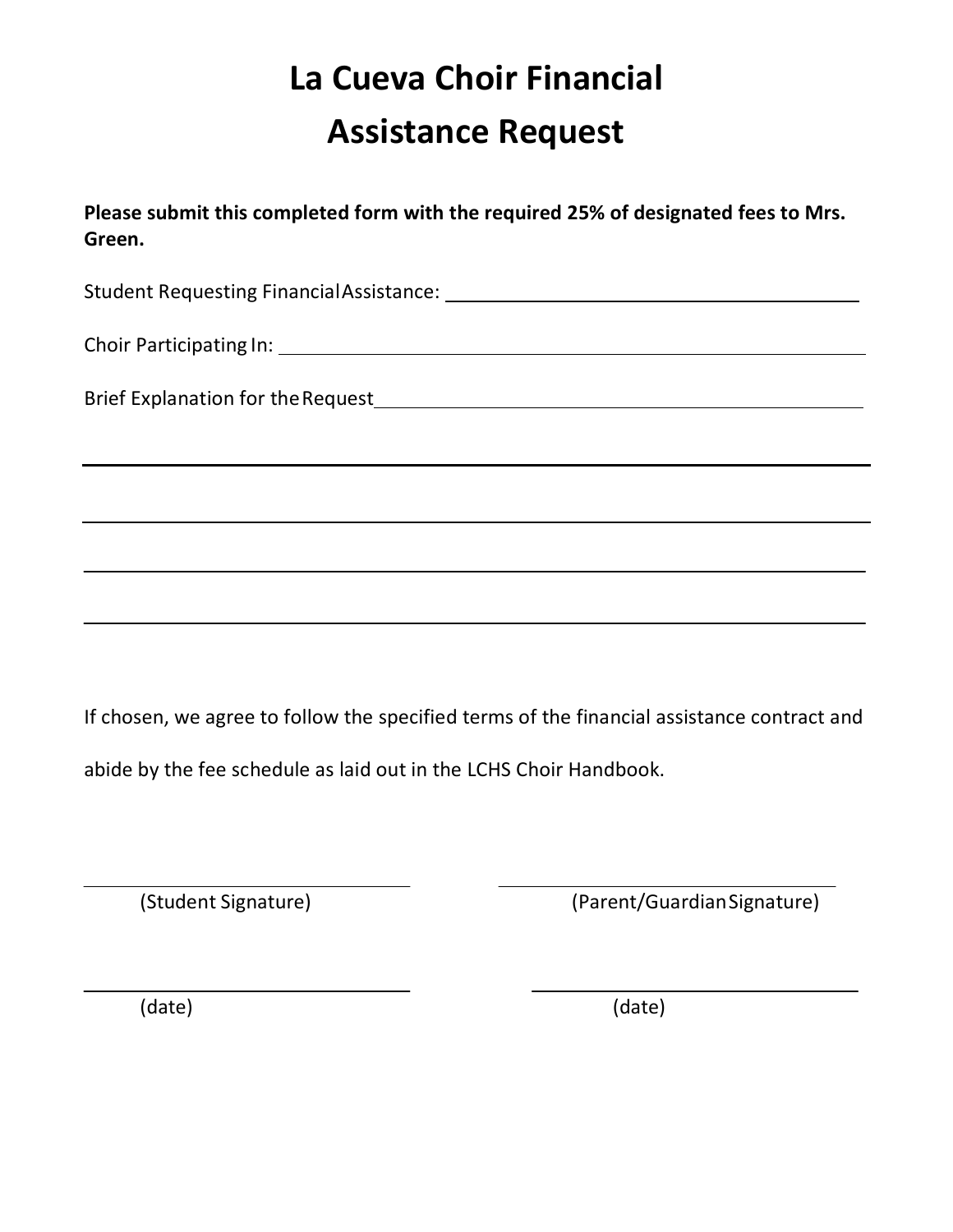## **La Cueva Choir Financial Assistance Request**

**Please submit this completed form with the required 25% of designated fees to Mrs. Green.**

Student Requesting FinancialAssistance:

Choir Participating In:

Brief Explanation for theRequest

If chosen, we agree to follow the specified terms of the financial assistance contract and abide by the fee schedule as laid out in the LCHS Choir Handbook.

(Student Signature) (Parent/GuardianSignature)

(date) (date)